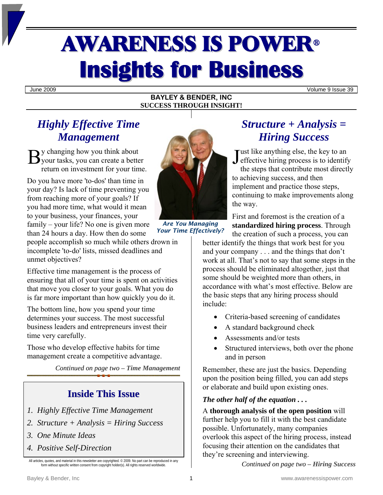# AWARENESS IS POWER<sup>ü</sup> **Insights for Business**

June 2009 Volume 9 Issue 39

#### **BAYLEY & BENDER, INC SUCCESS THROUGH INSIGHT!**

## *Highly Effective Time Management*

y changing how you think about By changing how you think about<br>
your tasks, you can create a better<br>
Sylvant and the state of the state of the state of the state of the state of the state of the state of the state of the state of the state of the state return on investment for your time.

Do you have more 'to-dos' than time in your day? Is lack of time preventing you from reaching more of your goals? If you had more time, what would it mean to your business, your finances, your family – your life? No one is given more than 24 hours a day. How then do some

people accomplish so much while others drown in incomplete 'to-do' lists, missed deadlines and unmet objectives?

Effective time management is the process of ensuring that all of your time is spent on activities that move you closer to your goals. What you do is far more important than how quickly you do it.

The bottom line, how you spend your time determines your success. The most successful business leaders and entrepreneurs invest their time very carefully.

Those who develop effective habits for time management create a competitive advantage.

*Continued on page two – Time Management* 

## **Inside This Issue**

- *1. Highly Effective Time Management*
- *2. Structure + Analysis = Hiring Success*
- *3. One Minute Ideas*
- *4. Positive Self-Direction*

All articles, quotes, and material in this newsletter are copyrighted. © 2009. No part can be reproduced in any form without specific written consent from copyright holder(s). All rights reserved worldwide



*Are You Managing Your Time Effectively?* 

# *Structure + Analysis = Hiring Success*

ust like anything else, the key to an  $\blacksquare$  effective hiring process is to identify

the steps that contribute most directly to achieving success, and then implement and practice those steps, continuing to make improvements along the way.

First and foremost is the creation of a **standardized hiring process**. Through the creation of such a process, you can

better identify the things that work best for you and your company . . . and the things that don't work at all. That's not to say that some steps in the process should be eliminated altogether, just that some should be weighted more than others, in accordance with what's most effective. Below are the basic steps that any hiring process should include:

- Criteria-based screening of candidates
- A standard background check
- Assessments and/or tests
- Structured interviews, both over the phone and in person

Remember, these are just the basics. Depending upon the position being filled, you can add steps or elaborate and build upon existing ones.

#### *The other half of the equation . . .*

A **thorough analysis of the open position** will further help you to fill it with the best candidate possible. Unfortunately, many companies overlook this aspect of the hiring process, instead focusing their attention on the candidates that they're screening and interviewing.

*Continued on page two – Hiring Success*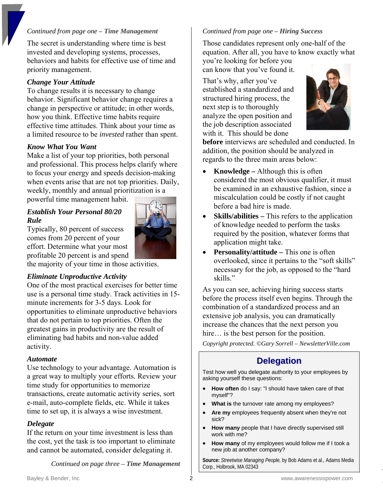#### *Continued from page one – Time Management*

The secret is understanding where time is best invested and developing systems, processes, behaviors and habits for effective use of time and priority management.

#### *Change Your Attitude*

To change results it is necessary to change behavior. Significant behavior change requires a change in perspective or attitude; in other words, how you think. Effective time habits require effective time attitudes. Think about your time as a limited resource to be *invested* rather than spent.

#### *Know What You Want*

Make a list of your top priorities, both personal and professional. This process helps clarify where to focus your energy and speeds decision-making when events arise that are not top priorities. Daily, weekly, monthly and annual prioritization is a

powerful time management habit.

#### *Establish Your Personal 80/20 Rule*

Typically, 80 percent of success comes from 20 percent of your effort. Determine what your most profitable 20 percent is and spend

the majority of your time in those activities.

#### *Eliminate Unproductive Activity*

One of the most practical exercises for better time use is a personal time study. Track activities in 15 minute increments for 3-5 days. Look for opportunities to eliminate unproductive behaviors that do not pertain to top priorities. Often the greatest gains in productivity are the result of eliminating bad habits and non-value added activity.

#### *Automate*

Use technology to your advantage. Automation is a great way to multiply your efforts. Review your time study for opportunities to memorize transactions, create automatic activity series, sort e-mail, auto-complete fields, etc. While it takes time to set up, it is always a wise investment.

#### *Delegate*

If the return on your time investment is less than the cost, yet the task is too important to eliminate and cannot be automated, consider delegating it.

*Continued on page three – Time Management* 

#### *Continued from page one – Hiring Success*

Those candidates represent only one-half of the equation. After all, you have to know exactly what you're looking for before you

can know that you've found it.

That's why, after you've established a standardized and structured hiring process, the next step is to thoroughly analyze the open position and the job description associated with it. This should be done



**before** interviews are scheduled and conducted. In addition, the position should be analyzed in regards to the three main areas below:

- **Knowledge** Although this is often considered the most obvious qualifier, it must be examined in an exhaustive fashion, since a miscalculation could be costly if not caught before a bad hire is made.
- **Skills/abilities** This refers to the application of knowledge needed to perform the tasks required by the position, whatever forms that application might take.
- **Personality/attitude** This one is often overlooked, since it pertains to the "soft skills" necessary for the job, as opposed to the "hard skills."

As you can see, achieving hiring success starts before the process itself even begins. Through the combination of a standardized process and an extensive job analysis, you can dramatically increase the chances that the next person you hire… is the best person for the position.

*Copyright protected. ©Gary Sorrell – NewsletterVille.com*

### **Delegation**

Test how well you delegate authority to your employees by asking yourself these questions:

- **How often** do I say: "I should have taken care of that myself"?
- **What is** the turnover rate among my employees?
- **Are my** employees frequently absent when they're not sick?
- **How many** people that I have directly supervised still work with me?
- **How many** of my employees would follow me if I took a new job at another company?

**Source:** *Streetwise Managing People,* by Bob Adams et al., Adams Media Corp., Holbrook, MA 02343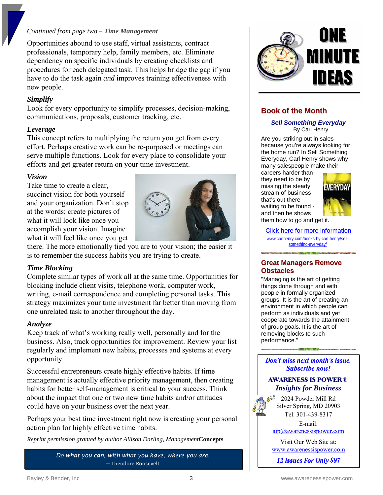#### *Continued from page two – Time Management*

Opportunities abound to use staff, virtual assistants, contract professionals, temporary help, family members, etc. Eliminate dependency on specific individuals by creating checklists and procedures for each delegated task. This helps bridge the gap if you have to do the task again *and* improves training effectiveness with new people.

#### *Simplify*

Look for every opportunity to simplify processes, decision-making, communications, proposals, customer tracking, etc.

#### *Leverage*

This concept refers to multiplying the return you get from every effort. Perhaps creative work can be re-purposed or meetings can serve multiple functions. Look for every place to consolidate your efforts and get greater return on your time investment.

#### *Vision*

Take time to create a clear, succinct vision for both yourself and your organization. Don't stop at the words; create pictures of what it will look like once you accomplish your vision. Imagine what it will feel like once you get



there. The more emotionally tied you are to your vision; the easier it is to remember the success habits you are trying to create.

#### *Time Blocking*

Complete similar types of work all at the same time. Opportunities for blocking include client visits, telephone work, computer work, writing, e-mail correspondence and completing personal tasks. This strategy maximizes your time investment far better than moving from one unrelated task to another throughout the day.

#### *Analyze*

Keep track of what's working really well, personally and for the business. Also, track opportunities for improvement. Review your list regularly and implement new habits, processes and systems at every opportunity.

Successful entrepreneurs create highly effective habits. If time management is actually effective priority management, then creating habits for better self-management is critical to your success. Think about the impact that one or two new time habits and/or attitudes could have on your business over the next year.

Perhaps your best time investment right now is creating your personal action plan for highly effective time habits.

*Reprint permission granted by author Allison Darling, Management***Concepts**

*Do what you can, with what you have, where you are.* ─ Theodore Roosevelt



#### **Book of the Month**

*Sell Something Everyday*  – By Carl Henry

Are you striking out in sales because you're always looking for the home run? In Sell Something Everyday, Carl Henry shows why many salespeople make their

careers harder than they need to be by missing the steady stream of business that's out there waiting to be found and then he shows them how to go and get it.



[Click here for more information](http://carlhenry.com/books-by-carl-henry/the-modern-sales-system/) [www.carlhenry.com/books-by-carl-henry/sell](http://www.carlhenry.com/books-by-carl-henry/sell-something-everyday/)[something-everyday/](http://www.carlhenry.com/books-by-carl-henry/sell-something-everyday/)

#### **Great Managers Remove Obstacles**

"Managing is the art of getting things done through and with people in formally organized groups. It is the art of creating an environment in which people can perform as individuals and yet cooperate towards the attainment of group goals. It is the art of removing blocks to such performance."

**Don't miss next month's issue. Subscribe now!** 

#### **AWARENESS IS POWER**® *Insights for Business*

2024 Powder Mill Rd Silver Spring, MD 20903 Tel: 301-439-8317

E-mail:

[aip@awarenessispower.com](mailto:aip@awarenessispower.com)

Visit Our Web Site at: [www.awarenessispower.com](http://www.awarenessispower.com/)

12 Issues For Only \$97